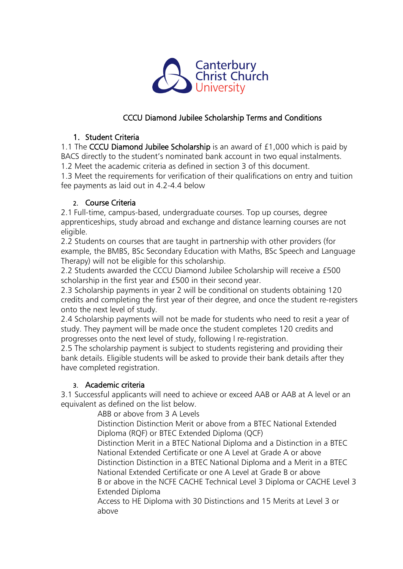

## CCCU Diamond Jubilee Scholarship Terms and Conditions

## 1. Student Criteria

1.1 The CCCU Diamond Jubilee Scholarship is an award of £1,000 which is paid by BACS directly to the student's nominated bank account in two equal instalments.

1.2 Meet the academic criteria as defined in section 3 of this document.

1.3 Meet the requirements for verification of their qualifications on entry and tuition fee payments as laid out in 4.2-4.4 below

#### 2. Course Criteria

2.1 Full-time, campus-based, undergraduate courses. Top up courses, degree apprenticeships, study abroad and exchange and distance learning courses are not eligible.

2.2 Students on courses that are taught in partnership with other providers (for example, the BMBS, BSc Secondary Education with Maths, BSc Speech and Language Therapy) will not be eligible for this scholarship.

2.2 Students awarded the CCCU Diamond Jubilee Scholarship will receive a £500 scholarship in the first year and £500 in their second year.

2.3 Scholarship payments in year 2 will be conditional on students obtaining 120 credits and completing the first year of their degree, and once the student re-registers onto the next level of study.

2.4 Scholarship payments will not be made for students who need to resit a year of study. They payment will be made once the student completes 120 credits and progresses onto the next level of study, following l re-registration.

2.5 The scholarship payment is subject to students registering and providing their bank details. Eligible students will be asked to provide their bank details after they have completed registration.

## 3. Academic criteria

3.1 Successful applicants will need to achieve or exceed AAB or AAB at A level or an equivalent as defined on the list below.

ABB or above from 3 A Levels

Distinction Distinction Merit or above from a BTEC National Extended Diploma (RQF) or BTEC Extended Diploma (QCF)

Distinction Merit in a BTEC National Diploma and a Distinction in a BTEC National Extended Certificate or one A Level at Grade A or above Distinction Distinction in a BTEC National Diploma and a Merit in a BTEC National Extended Certificate or one A Level at Grade B or above

B or above in the NCFE CACHE Technical Level 3 Diploma or CACHE Level 3 Extended Diploma

Access to HE Diploma with 30 Distinctions and 15 Merits at Level 3 or above